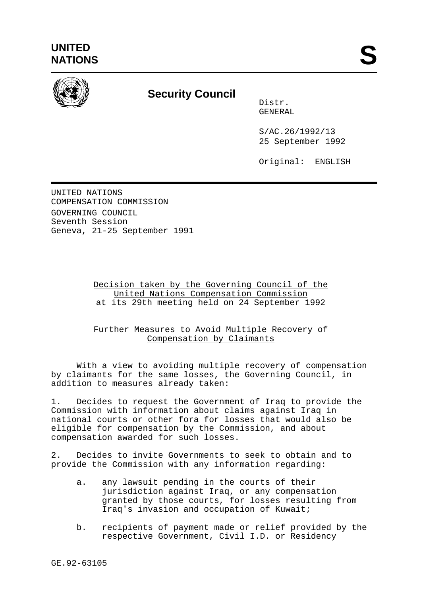

## **Security Council**

Distr. GENERAL

S/AC.26/1992/13 25 September 1992

Original: ENGLISH

UNITED NATIONS COMPENSATION COMMISSION GOVERNING COUNCIL Seventh Session Geneva, 21-25 September 1991

> Decision taken by the Governing Council of the United Nations Compensation Commission at its 29th meeting held on 24 September 1992

> Further Measures to Avoid Multiple Recovery of Compensation by Claimants

With a view to avoiding multiple recovery of compensation by claimants for the same losses, the Governing Council, in addition to measures already taken:

1. Decides to request the Government of Iraq to provide the Commission with information about claims against Iraq in national courts or other fora for losses that would also be eligible for compensation by the Commission, and about compensation awarded for such losses.

2. Decides to invite Governments to seek to obtain and to provide the Commission with any information regarding:

- a. any lawsuit pending in the courts of their jurisdiction against Iraq, or any compensation granted by those courts, for losses resulting from Iraq's invasion and occupation of Kuwait;
- b. recipients of payment made or relief provided by the respective Government, Civil I.D. or Residency